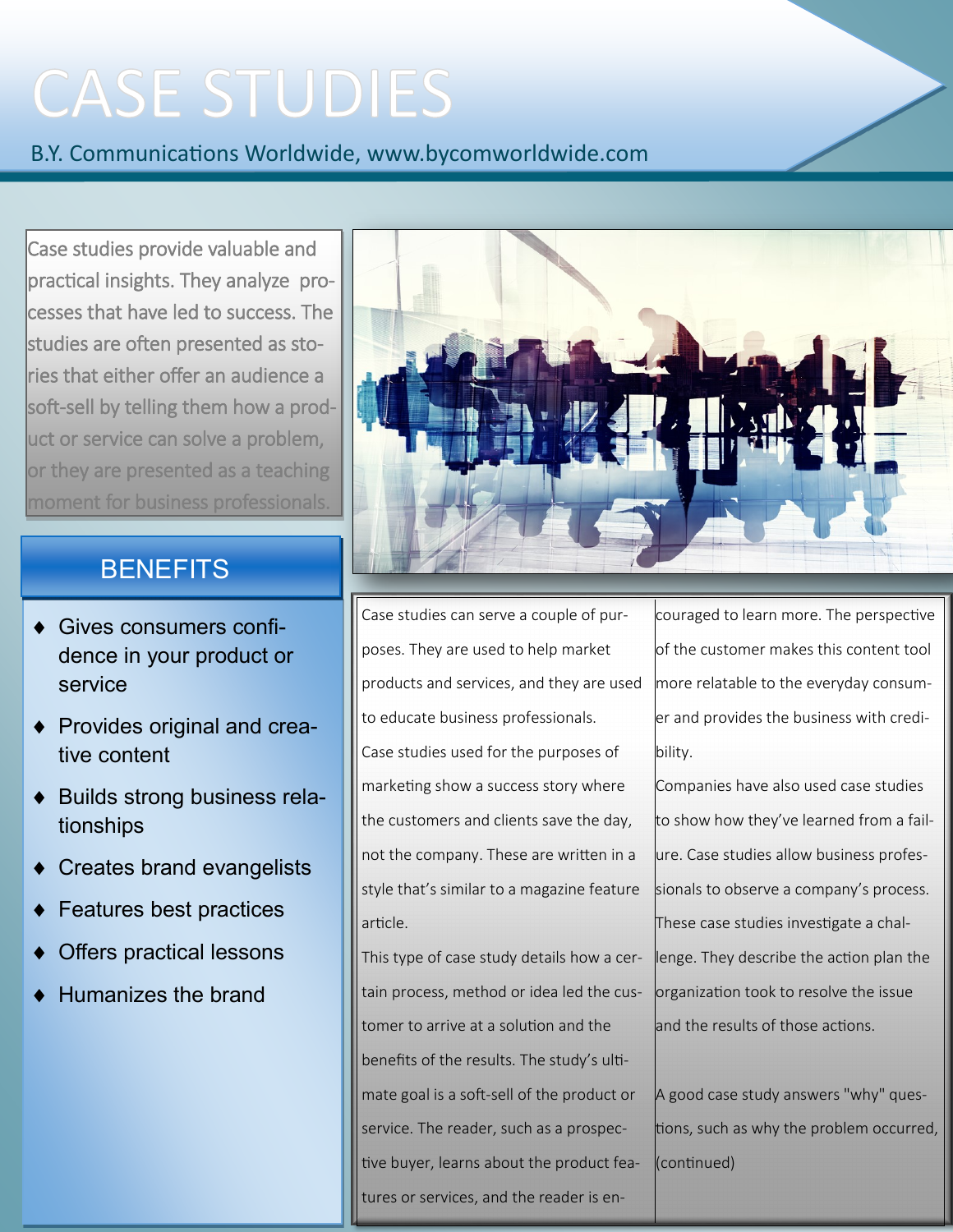## **CASE STUDIES**

B.Y. Communications Worldwide, www.bycomworldwide.com

Case studies provide valuable and practical insights. They analyze processes that have led to success. The studies are often presented as stories that either offer an audience a soft-sell by telling them how a product or service can solve a problem, or they are presented as a teaching moment for business professionals.

## **BENEFITS**

- Gives consumers confidence in your product or service
- ◆ Provides original and creative content
- ◆ Builds strong business relationships
- Creates brand evangelists
- Features best practices
- Offers practical lessons
- Humanizes the brand



Case studies can serve a couple of purposes. They are used to help market products and services, and they are used to educate business professionals. Case studies used for the purposes of marketing show a success story where the customers and clients save the day, not the company. These are written in a style that's similar to a magazine feature article.

This type of case study details how a certain process, method or idea led the customer to arrive at a solution and the benefits of the results. The study's ultimate goal is a soft-sell of the product or service. The reader, such as a prospective buyer, learns about the product features or services, and the reader is encouraged to learn more. The perspective of the customer makes this content tool more relatable to the everyday consumer and provides the business with credibility.

Companies have also used case studies to show how they've learned from a failure. Case studies allow business professionals to observe a company's process. These case studies investigate a challenge. They describe the action plan the organization took to resolve the issue and the results of those actions.

A good case study answers "why" questions, such as why the problem occurred, (continued)